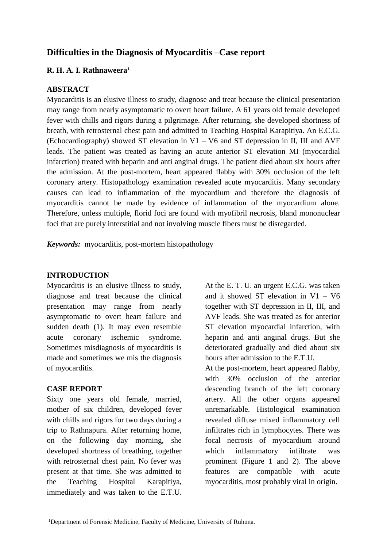# **Difficulties in the Diagnosis of Myocarditis –Case report**

## **R. H. A. I. Rathnaweera<sup>1</sup>**

## **ABSTRACT**

Myocarditis is an elusive illness to study, diagnose and treat because the clinical presentation may range from nearly asymptomatic to overt heart failure. A 61 years old female developed fever with chills and rigors during a pilgrimage. After returning, she developed shortness of breath, with retrosternal chest pain and admitted to Teaching Hospital Karapitiya. An E.C.G. (Echocardiography) showed ST elevation in V1 – V6 and ST depression in II, III and AVF leads. The patient was treated as having an acute anterior ST elevation MI (myocardial infarction) treated with heparin and anti anginal drugs. The patient died about six hours after the admission. At the post-mortem, heart appeared flabby with 30% occlusion of the left coronary artery. Histopathology examination revealed acute myocarditis. Many secondary causes can lead to inflammation of the myocardium and therefore the diagnosis of myocarditis cannot be made by evidence of inflammation of the myocardium alone. Therefore, unless multiple, florid foci are found with myofibril necrosis, bland mononuclear foci that are purely interstitial and not involving muscle fibers must be disregarded.

*Keywords:* myocarditis, post-mortem histopathology

### **INTRODUCTION**

Myocarditis is an elusive illness to study, diagnose and treat because the clinical presentation may range from nearly asymptomatic to overt heart failure and sudden death (1). It may even resemble acute coronary ischemic syndrome. Sometimes misdiagnosis of myocarditis is made and sometimes we mis the diagnosis of myocarditis.

#### **CASE REPORT**

Sixty one years old female, married, mother of six children, developed fever with chills and rigors for two days during a trip to Rathnapura. After returning home, on the following day morning, she developed shortness of breathing, together with retrosternal chest pain. No fever was present at that time. She was admitted to the Teaching Hospital Karapitiya, immediately and was taken to the E.T.U.

At the E. T. U. an urgent E.C.G. was taken and it showed ST elevation in V1 – V6 together with ST depression in II, III, and AVF leads. She was treated as for anterior ST elevation myocardial infarction, with heparin and anti anginal drugs. But she deteriorated gradually and died about six hours after admission to the E.T.U.

At the post-mortem, heart appeared flabby, with 30% occlusion of the anterior descending branch of the left coronary artery. All the other organs appeared unremarkable. Histological examination revealed diffuse mixed inflammatory cell infiltrates rich in lymphocytes. There was focal necrosis of myocardium around which inflammatory infiltrate was prominent (Figure 1 and 2). The above features are compatible with acute myocarditis, most probably viral in origin.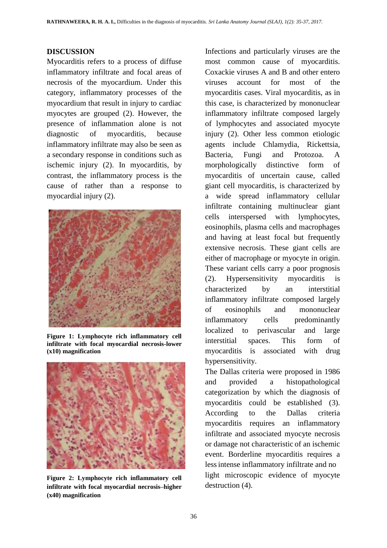#### **DISCUSSION**

Myocarditis refers to a process of diffuse inflammatory infiltrate and focal areas of necrosis of the myocardium. Under this category, inflammatory processes of the myocardium that result in injury to cardiac myocytes are grouped (2). However, the presence of inflammation alone is not diagnostic of myocarditis, because inflammatory infiltrate may also be seen as a secondary response in conditions such as ischemic injury (2). In myocarditis, by contrast, the inflammatory process is the cause of rather than a response to myocardial injury (2).



**Figure 1: Lymphocyte rich inflammatory cell infiltrate with focal myocardial necrosis-lower (x10) magnification** 



**Figure 2: Lymphocyte rich inflammatory cell infiltrate with focal myocardial necrosis–higher (x40) magnification** 

 Infections and particularly viruses are the most common cause of myocarditis. Coxackie viruses A and B and other entero viruses account for most of the myocarditis cases. Viral myocarditis, as in this case, is characterized by mononuclear inflammatory infiltrate composed largely of lymphocytes and associated myocyte injury (2). Other less common etiologic agents include Chlamydia, Rickettsia, Bacteria, Fungi and Protozoa. A morphologically distinctive form of myocarditis of uncertain cause, called giant cell myocarditis, is characterized by a wide spread inflammatory cellular infiltrate containing multinuclear giant cells interspersed with lymphocytes, eosinophils, plasma cells and macrophages and having at least focal but frequently extensive necrosis. These giant cells are either of macrophage or myocyte in origin. These variant cells carry a poor prognosis (2). Hypersensitivity myocarditis is characterized by an interstitial inflammatory infiltrate composed largely of eosinophils and mononuclear inflammatory cells predominantly localized to perivascular and large interstitial spaces. This form of myocarditis is associated with drug hypersensitivity.

The Dallas criteria were proposed in 1986 and provided a histopathological categorization by which the diagnosis of myocarditis could be established (3). According to the Dallas criteria myocarditis requires an inflammatory infiltrate and associated myocyte necrosis or damage not characteristic of an ischemic event. Borderline myocarditis requires a lessintense inflammatory infiltrate and no light microscopic evidence of myocyte destruction (4).